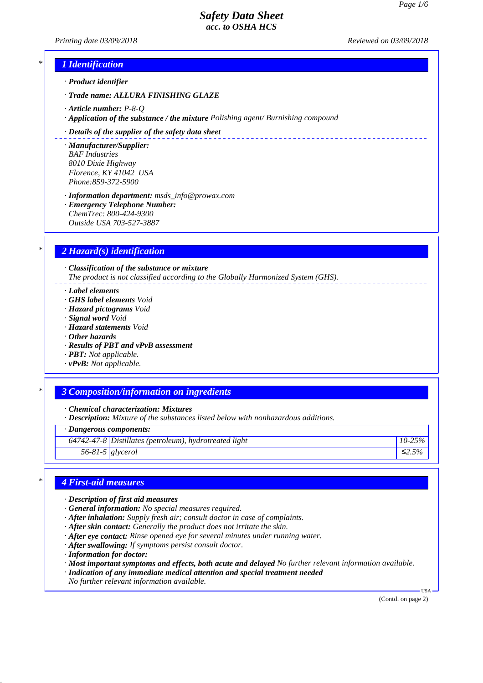*Printing date 03/09/2018 Reviewed on 03/09/2018*

\_\_\_\_\_\_\_\_\_\_\_\_\_\_\_\_\_\_\_\_\_\_\_\_\_\_

# *\* 1 Identification*

*· Product identifier*

*· Trade name: ALLURA FINISHING GLAZE*

- *· Article number: P-8-Q*
- *· Application of the substance / the mixture Polishing agent/ Burnishing compound*

#### *· Details of the supplier of the safety data sheet*

*· Manufacturer/Supplier: BAF Industries 8010 Dixie Highway Florence, KY 41042 USA Phone:859-372-5900*

*· Information department: msds\_info@prowax.com · Emergency Telephone Number:*

*ChemTrec: 800-424-9300 Outside USA 703-527-3887*

# *\* 2 Hazard(s) identification*

*· Classification of the substance or mixture The product is not classified according to the Globally Harmonized System (GHS).*

*· Label elements*

- *· GHS label elements Void*
- *· Hazard pictograms Void*
- *· Signal word Void*
- *· Hazard statements Void*
- *· Other hazards*
- *· Results of PBT and vPvB assessment*
- *· PBT: Not applicable.*
- *· vPvB: Not applicable.*

## *\* 3 Composition/information on ingredients*

*· Chemical characterization: Mixtures*

*· Description: Mixture of the substances listed below with nonhazardous additions.*

*· Dangerous components:*

*64742-47-8 Distillates (petroleum), hydrotreated light 10-25%*

*56-81-5 glycerol ≤2.5%*

# *\* 4 First-aid measures*

- *· Description of first aid measures*
- *· General information: No special measures required.*
- *· After inhalation: Supply fresh air; consult doctor in case of complaints.*
- *· After skin contact: Generally the product does not irritate the skin.*
- *· After eye contact: Rinse opened eye for several minutes under running water.*
- *· After swallowing: If symptoms persist consult doctor.*
- *· Information for doctor:*
- *· Most important symptoms and effects, both acute and delayed No further relevant information available.*
- *· Indication of any immediate medical attention and special treatment needed*
- *No further relevant information available.*

(Contd. on page 2)

USA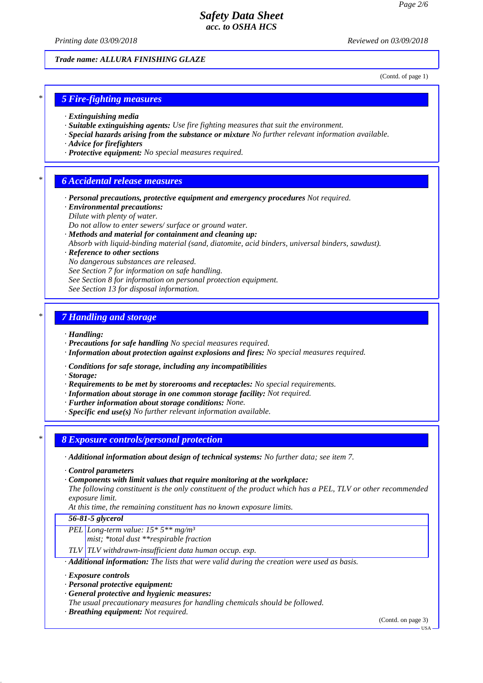*Printing date 03/09/2018 Reviewed on 03/09/2018*

*Trade name: ALLURA FINISHING GLAZE*

(Contd. of page 1)

## *\* 5 Fire-fighting measures*

- *· Extinguishing media*
- *· Suitable extinguishing agents: Use fire fighting measures that suit the environment.*
- *· Special hazards arising from the substance or mixture No further relevant information available.*
- *· Advice for firefighters*
- *· Protective equipment: No special measures required.*

## *\* 6 Accidental release measures*

- *· Personal precautions, protective equipment and emergency procedures Not required.*
- *· Environmental precautions:*
- *Dilute with plenty of water.*
- *Do not allow to enter sewers/ surface or ground water.*
- *· Methods and material for containment and cleaning up:*
- *Absorb with liquid-binding material (sand, diatomite, acid binders, universal binders, sawdust).*

#### *· Reference to other sections*

- *No dangerous substances are released.*
- *See Section 7 for information on safe handling.*
- *See Section 8 for information on personal protection equipment.*
- *See Section 13 for disposal information.*

## *\* 7 Handling and storage*

- *· Handling:*
- *· Precautions for safe handling No special measures required.*
- *· Information about protection against explosions and fires: No special measures required.*
- *· Conditions for safe storage, including any incompatibilities*
- *· Storage:*
- *· Requirements to be met by storerooms and receptacles: No special requirements.*
- *· Information about storage in one common storage facility: Not required.*
- *· Further information about storage conditions: None.*
- *· Specific end use(s) No further relevant information available.*

## *\* 8 Exposure controls/personal protection*

- *· Additional information about design of technical systems: No further data; see item 7.*
- *· Control parameters*
- *· Components with limit values that require monitoring at the workplace:*
- *The following constituent is the only constituent of the product which has a PEL, TLV or other recommended exposure limit.*
- *At this time, the remaining constituent has no known exposure limits.*

## *56-81-5 glycerol*

- *PEL Long-term value: 15\* 5\*\* mg/m³*
	- *mist; \*total dust \*\*respirable fraction*
- *TLV TLV withdrawn-insufficient data human occup. exp.*
- *· Additional information: The lists that were valid during the creation were used as basis.*
- *· Exposure controls*
- *· Personal protective equipment:*
- *· General protective and hygienic measures:*
- *The usual precautionary measures for handling chemicals should be followed.*
- *· Breathing equipment: Not required.*

(Contd. on page 3)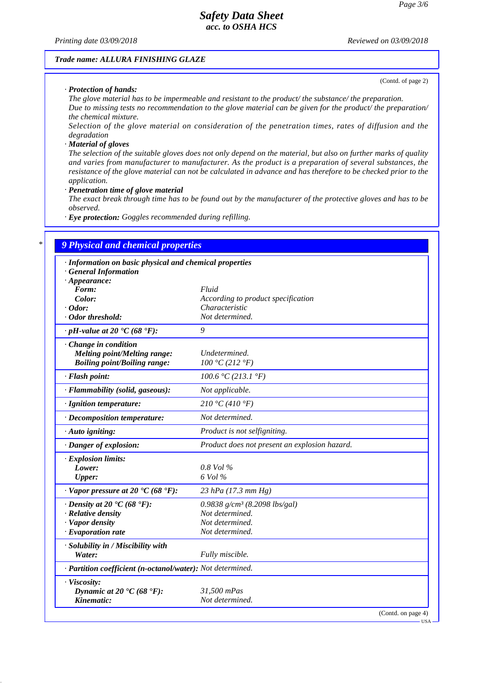*Printing date 03/09/2018 Reviewed on 03/09/2018*

#### *Trade name: ALLURA FINISHING GLAZE*

*· Protection of hands:*

(Contd. of page 2)

USA

*The glove material has to be impermeable and resistant to the product/ the substance/ the preparation. Due to missing tests no recommendation to the glove material can be given for the product/ the preparation/ the chemical mixture.*

*Selection of the glove material on consideration of the penetration times, rates of diffusion and the degradation*

#### *· Material of gloves*

*The selection of the suitable gloves does not only depend on the material, but also on further marks of quality and varies from manufacturer to manufacturer. As the product is a preparation of several substances, the resistance of the glove material can not be calculated in advance and has therefore to be checked prior to the application.*

*· Penetration time of glove material*

*The exact break through time has to be found out by the manufacturer of the protective gloves and has to be observed.*

*· Eye protection: Goggles recommended during refilling.*

# *\* 9 Physical and chemical properties*

| · Information on basic physical and chemical properties    |                                               |
|------------------------------------------------------------|-----------------------------------------------|
| · General Information<br>$\cdot$ Appearance:               |                                               |
| Form:                                                      | Fluid                                         |
| Color:                                                     | According to product specification            |
| $\cdot$ Odor:                                              | Characteristic                                |
| · Odor threshold:                                          | Not determined.                               |
| $\cdot$ pH-value at 20 $\bullet C$ (68 $\bullet$ F):       | 9                                             |
| $\cdot$ Change in condition                                |                                               |
| <b>Melting point/Melting range:</b>                        | Undetermined.                                 |
| <b>Boiling point/Boiling range:</b>                        | 100 °C (212 °F)                               |
| · Flash point:                                             | 100.6 °C (213.1 °F)                           |
| · Flammability (solid, gaseous):                           | Not applicable.                               |
| · Ignition temperature:                                    | 210 °C (410 °F)                               |
| $\cdot$ Decomposition temperature:                         | Not determined.                               |
| $\cdot$ Auto igniting:                                     | Product is not selfigniting.                  |
| · Danger of explosion:                                     | Product does not present an explosion hazard. |
| $\cdot$ Explosion limits:                                  |                                               |
| Lower:                                                     | $0.8$ Vol $\%$                                |
| <b>Upper:</b>                                              | 6 Vol %                                       |
| $\cdot$ Vapor pressure at 20 °C (68 °F):                   | 23 hPa (17.3 mm Hg)                           |
| $\cdot$ Density at 20 $\cdot$ C (68 $\cdot$ F):            | 0.9838 $g/cm^3$ (8.2098 lbs/gal)              |
| · Relative density                                         | Not determined.                               |
| · Vapor density                                            | Not determined.                               |
| $\cdot$ Evaporation rate                                   | Not determined.                               |
| · Solubility in / Miscibility with                         |                                               |
| Water:                                                     | Fully miscible.                               |
| · Partition coefficient (n-octanol/water): Not determined. |                                               |
| · Viscosity:                                               |                                               |
| Dynamic at 20 $\textdegree$ C (68 $\textdegree$ F):        | 31,500 mPas                                   |
| Kinematic:                                                 | Not determined.                               |
|                                                            | (Contd. on page 4)                            |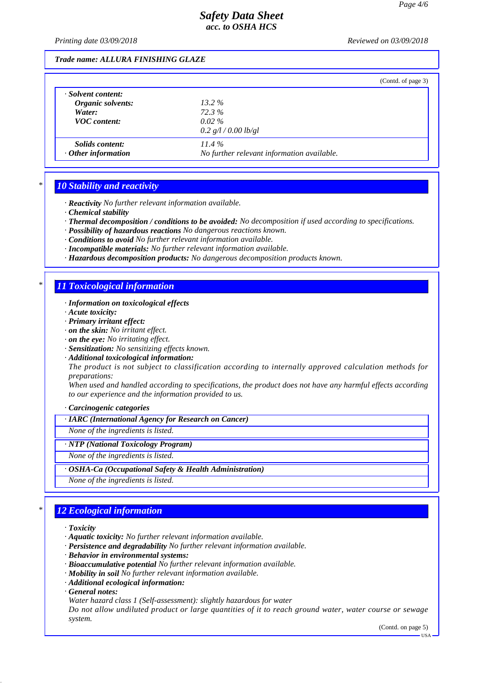*Printing date 03/09/2018 Reviewed on 03/09/2018*

#### *Trade name: ALLURA FINISHING GLAZE*

|                           |                                            | (Contd. of page 3) |
|---------------------------|--------------------------------------------|--------------------|
| · Solvent content:        |                                            |                    |
| Organic solvents:         | $13.2\%$                                   |                    |
| Water:                    | 72.3%                                      |                    |
| <b>VOC</b> content:       | $0.02\%$                                   |                    |
|                           | 0.2 $g/l/0.00$ lb/gl                       |                    |
| <i>Solids content:</i>    | $11.4\%$                                   |                    |
| $\cdot$ Other information | No further relevant information available. |                    |
|                           |                                            |                    |

### *\* 10 Stability and reactivity*

*· Reactivity No further relevant information available.*

- *· Chemical stability*
- *· Thermal decomposition / conditions to be avoided: No decomposition if used according to specifications.*
- *· Possibility of hazardous reactions No dangerous reactions known.*
- *· Conditions to avoid No further relevant information available.*
- *· Incompatible materials: No further relevant information available.*
- *· Hazardous decomposition products: No dangerous decomposition products known.*

### *\* 11 Toxicological information*

- *· Information on toxicological effects*
- *· Acute toxicity:*
- *· Primary irritant effect:*
- *· on the skin: No irritant effect.*
- *· on the eye: No irritating effect.*
- *· Sensitization: No sensitizing effects known.*
- *· Additional toxicological information:*

*The product is not subject to classification according to internally approved calculation methods for preparations:*

*When used and handled according to specifications, the product does not have any harmful effects according to our experience and the information provided to us.*

#### *· Carcinogenic categories*

*· IARC (International Agency for Research on Cancer)*

*None of the ingredients is listed.*

#### *· NTP (National Toxicology Program)*

*None of the ingredients is listed.*

#### *· OSHA-Ca (Occupational Safety & Health Administration)*

*None of the ingredients is listed.*

# *\* 12 Ecological information*

- *· Toxicity*
- *· Aquatic toxicity: No further relevant information available.*
- *· Persistence and degradability No further relevant information available.*
- *· Behavior in environmental systems:*
- *· Bioaccumulative potential No further relevant information available.*
- *· Mobility in soil No further relevant information available.*
- *· Additional ecological information:*

*· General notes:*

*Water hazard class 1 (Self-assessment): slightly hazardous for water*

*Do not allow undiluted product or large quantities of it to reach ground water, water course or sewage system.*

(Contd. on page 5)

USA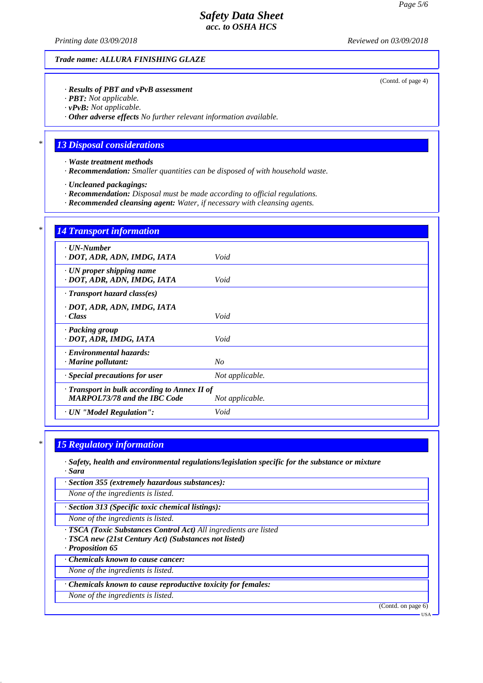*Printing date 03/09/2018 Reviewed on 03/09/2018*

*Trade name: ALLURA FINISHING GLAZE*

#### *· Results of PBT and vPvB assessment*

*· PBT: Not applicable.*

*· vPvB: Not applicable.*

*· Other adverse effects No further relevant information available.*

### *\* 13 Disposal considerations*

*· Waste treatment methods*

*· Recommendation: Smaller quantities can be disposed of with household waste.*

*· Uncleaned packagings:*

*· Recommendation: Disposal must be made according to official regulations.*

*· Recommended cleansing agent: Water, if necessary with cleansing agents.*

| $\cdot$ UN-Number                            |                 |
|----------------------------------------------|-----------------|
| · DOT, ADR, ADN, IMDG, IATA                  | Void            |
| · UN proper shipping name                    |                 |
| · DOT, ADR, ADN, IMDG, IATA                  | Void            |
| $\cdot$ Transport hazard class(es)           |                 |
| · DOT, ADR, ADN, IMDG, IATA                  |                 |
| · Class                                      | Void            |
| · Packing group                              |                 |
| · DOT, ADR, IMDG, IATA                       | Void            |
| · Environmental hazards:                     |                 |
| · Marine pollutant:                          | $N_{O}$         |
| · Special precautions for user               | Not applicable. |
| · Transport in bulk according to Annex II of |                 |
| <b>MARPOL73/78 and the IBC Code</b>          | Not applicable. |

# *\* 15 Regulatory information*

*· Safety, health and environmental regulations/legislation specific for the substance or mixture · Sara*

*· Section 355 (extremely hazardous substances):*

*None of the ingredients is listed.*

*· Section 313 (Specific toxic chemical listings):*

*None of the ingredients is listed.*

*· TSCA (Toxic Substances Control Act) All ingredients are listed*

*· TSCA new (21st Century Act) (Substances not listed)*

*· Proposition 65*

*· Chemicals known to cause cancer:*

*None of the ingredients is listed.*

*· Chemicals known to cause reproductive toxicity for females:*

*None of the ingredients is listed.*

(Contd. on page 6)

USA

(Contd. of page 4)